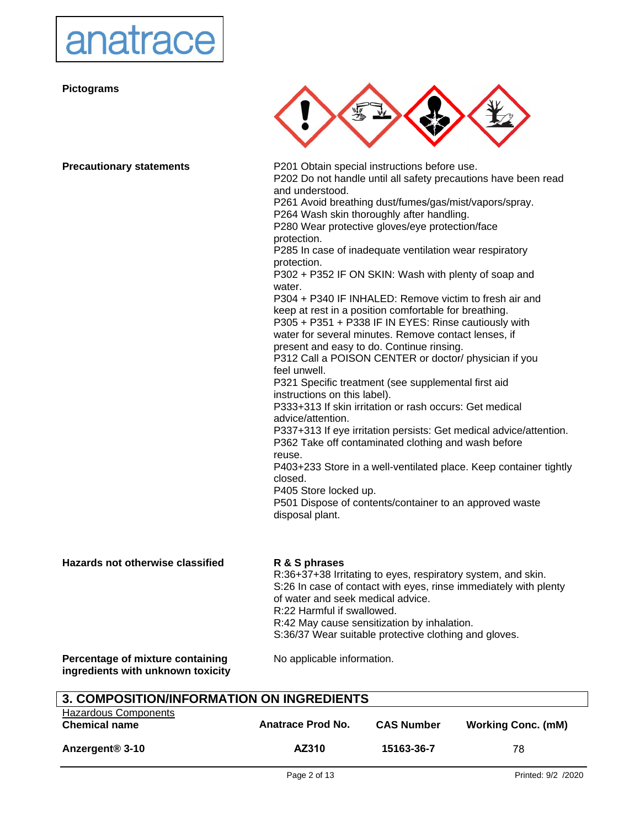

**Pictograms**



| <b>Precautionary statements</b>                                       | P201 Obtain special instructions before use.<br>P202 Do not handle until all safety precautions have been read |
|-----------------------------------------------------------------------|----------------------------------------------------------------------------------------------------------------|
|                                                                       | and understood.                                                                                                |
|                                                                       | P261 Avoid breathing dust/fumes/gas/mist/vapors/spray.                                                         |
|                                                                       | P264 Wash skin thoroughly after handling.                                                                      |
|                                                                       | P280 Wear protective gloves/eye protection/face                                                                |
|                                                                       | protection.                                                                                                    |
|                                                                       | P285 In case of inadequate ventilation wear respiratory                                                        |
|                                                                       | protection.                                                                                                    |
|                                                                       | P302 + P352 IF ON SKIN: Wash with plenty of soap and                                                           |
|                                                                       | water.<br>P304 + P340 IF INHALED: Remove victim to fresh air and                                               |
|                                                                       | keep at rest in a position comfortable for breathing.                                                          |
|                                                                       | P305 + P351 + P338 IF IN EYES: Rinse cautiously with                                                           |
|                                                                       | water for several minutes. Remove contact lenses, if                                                           |
|                                                                       | present and easy to do. Continue rinsing.                                                                      |
|                                                                       | P312 Call a POISON CENTER or doctor/ physician if you                                                          |
|                                                                       | feel unwell.                                                                                                   |
|                                                                       | P321 Specific treatment (see supplemental first aid                                                            |
|                                                                       | instructions on this label).                                                                                   |
|                                                                       | P333+313 If skin irritation or rash occurs: Get medical                                                        |
|                                                                       | advice/attention.                                                                                              |
|                                                                       | P337+313 If eye irritation persists: Get medical advice/attention.                                             |
|                                                                       | P362 Take off contaminated clothing and wash before                                                            |
|                                                                       | reuse.                                                                                                         |
|                                                                       | P403+233 Store in a well-ventilated place. Keep container tightly                                              |
|                                                                       | closed.<br>P405 Store locked up.                                                                               |
|                                                                       | P501 Dispose of contents/container to an approved waste                                                        |
|                                                                       | disposal plant.                                                                                                |
|                                                                       |                                                                                                                |
| Hazards not otherwise classified                                      | R & S phrases                                                                                                  |
|                                                                       | R:36+37+38 Irritating to eyes, respiratory system, and skin.                                                   |
|                                                                       | S:26 In case of contact with eyes, rinse immediately with plenty                                               |
|                                                                       | of water and seek medical advice.                                                                              |
|                                                                       | R:22 Harmful if swallowed.                                                                                     |
|                                                                       | R:42 May cause sensitization by inhalation.                                                                    |
|                                                                       | S:36/37 Wear suitable protective clothing and gloves.                                                          |
| Percentage of mixture containing<br>ingredients with unknown toxicity | No applicable information.                                                                                     |
| 3. COMPOSITION/INFORMATION ON INGREDIENTS                             |                                                                                                                |

| 3. COMPOSITION/INFORMATION ON INGREDIENTS |                   |                   |                           |
|-------------------------------------------|-------------------|-------------------|---------------------------|
| Hazardous Components                      |                   |                   |                           |
| <b>Chemical name</b>                      | Anatrace Prod No. | <b>CAS Number</b> | <b>Working Conc. (mM)</b> |
|                                           |                   |                   |                           |
| Anzergent <sup>®</sup> 3-10               | AZ310             | 15163-36-7        | 78                        |
|                                           |                   |                   |                           |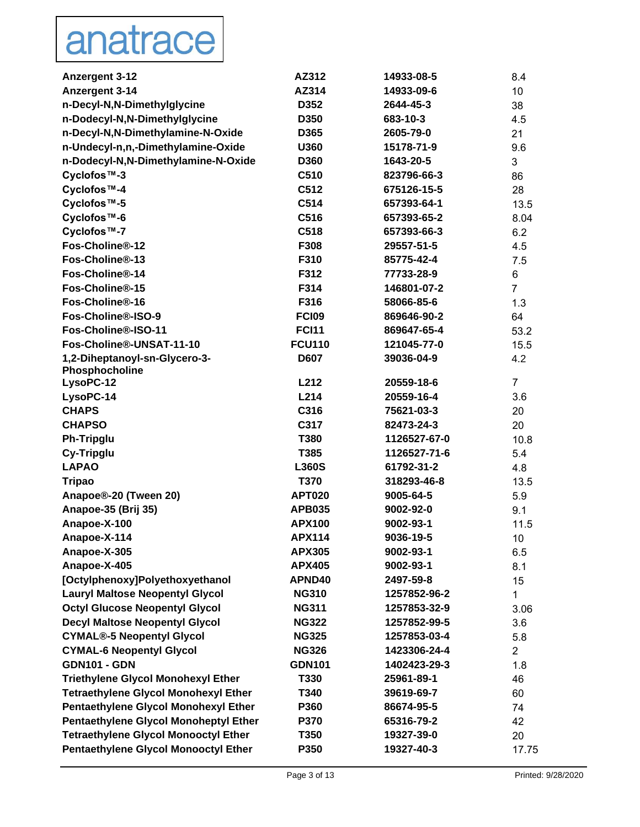# anatrace

| <b>Anzergent 3-12</b>                           | AZ312                  | 14933-08-5                | 8.4                   |
|-------------------------------------------------|------------------------|---------------------------|-----------------------|
| Anzergent 3-14                                  | AZ314                  | 14933-09-6                | 10                    |
| n-Decyl-N,N-Dimethylglycine                     | D352                   | 2644-45-3                 | 38                    |
| n-Dodecyl-N,N-Dimethylglycine                   | D350                   | 683-10-3                  | 4.5                   |
| n-Decyl-N,N-Dimethylamine-N-Oxide               | D365                   | 2605-79-0                 | 21                    |
| n-Undecyl-n,n,-Dimethylamine-Oxide              | U360                   | 15178-71-9                | 9.6                   |
| n-Dodecyl-N,N-Dimethylamine-N-Oxide             | D360                   | 1643-20-5                 | 3                     |
| Cyclofos™-3                                     | C510                   | 823796-66-3               | 86                    |
| Cyclofos™-4                                     | C512                   | 675126-15-5               | 28                    |
| Cyclofos™-5                                     | C514                   | 657393-64-1               | 13.5                  |
| Cyclofos <sup>™-6</sup>                         | C516                   | 657393-65-2               | 8.04                  |
| Cyclofos <sup>™-7</sup>                         | C518                   | 657393-66-3               | 6.2                   |
| Fos-Choline®-12                                 | F308                   | 29557-51-5                | 4.5                   |
| Fos-Choline®-13                                 | F310                   | 85775-42-4                | 7.5                   |
| Fos-Choline®-14                                 | F312                   | 77733-28-9                | 6                     |
| Fos-Choline®-15                                 | F314                   | 146801-07-2               | $\overline{7}$        |
| Fos-Choline®-16                                 | F316                   | 58066-85-6                | 1.3                   |
| Fos-Choline®-ISO-9                              | <b>FCI09</b>           | 869646-90-2               | 64                    |
| Fos-Choline®-ISO-11                             | <b>FCI11</b>           | 869647-65-4               | 53.2                  |
| Fos-Choline®-UNSAT-11-10                        | <b>FCU110</b>          | 121045-77-0               | 15.5                  |
| 1,2-Diheptanoyl-sn-Glycero-3-                   | <b>D607</b>            | 39036-04-9                | 4.2                   |
| Phosphocholine                                  |                        |                           |                       |
| LysoPC-12                                       | L212                   | 20559-18-6                | $\overline{7}$        |
| LysoPC-14                                       | L214                   | 20559-16-4                | 3.6                   |
| <b>CHAPS</b>                                    | C316                   | 75621-03-3                | 20                    |
| <b>CHAPSO</b>                                   | C317                   | 82473-24-3                | 20                    |
| <b>Ph-Tripglu</b>                               | T380                   | 1126527-67-0              | 10.8                  |
| Cy-Tripglu                                      | T385                   | 1126527-71-6              | 5.4                   |
| <b>LAPAO</b>                                    | L360S                  | 61792-31-2                | 4.8                   |
| <b>Tripao</b>                                   | <b>T370</b>            | 318293-46-8               | 13.5                  |
| Anapoe®-20 (Tween 20)                           | <b>APT020</b>          | 9005-64-5                 | 5.9                   |
| Anapoe-35 (Brij 35)                             | <b>APB035</b>          | 9002-92-0                 | 9.1                   |
| Anapoe-X-100                                    | <b>APX100</b>          | 9002-93-1<br>9036-19-5    | 11.5                  |
| Anapoe-X-114                                    | <b>APX114</b>          |                           | 10 <sup>°</sup>       |
| Anapoe-X-305                                    | <b>APX305</b>          | 9002-93-1                 | 6.5                   |
| Anapoe-X-405<br>[Octylphenoxy]Polyethoxyethanol | <b>APX405</b>          | 9002-93-1                 | 8.1                   |
| <b>Lauryl Maltose Neopentyl Glycol</b>          | APND40<br><b>NG310</b> | 2497-59-8<br>1257852-96-2 | 15                    |
| <b>Octyl Glucose Neopentyl Glycol</b>           | <b>NG311</b>           | 1257853-32-9              | 1                     |
| <b>Decyl Maltose Neopentyl Glycol</b>           | <b>NG322</b>           | 1257852-99-5              | 3.06                  |
| <b>CYMAL®-5 Neopentyl Glycol</b>                | <b>NG325</b>           | 1257853-03-4              | 3.6                   |
| <b>CYMAL-6 Neopentyl Glycol</b>                 | <b>NG326</b>           | 1423306-24-4              | 5.8<br>$\overline{2}$ |
| <b>GDN101 - GDN</b>                             | <b>GDN101</b>          | 1402423-29-3              |                       |
| <b>Triethylene Glycol Monohexyl Ether</b>       | T330                   | 25961-89-1                | 1.8<br>46             |
| <b>Tetraethylene Glycol Monohexyl Ether</b>     | T340                   | 39619-69-7                |                       |
| Pentaethylene Glycol Monohexyl Ether            | P360                   | 86674-95-5                | 60<br>74              |
| <b>Pentaethylene Glycol Monoheptyl Ether</b>    | P370                   | 65316-79-2                |                       |
| <b>Tetraethylene Glycol Monooctyl Ether</b>     | T350                   | 19327-39-0                | 42                    |
| <b>Pentaethylene Glycol Monooctyl Ether</b>     | P350                   | 19327-40-3                | 20                    |
|                                                 |                        |                           | 17.75                 |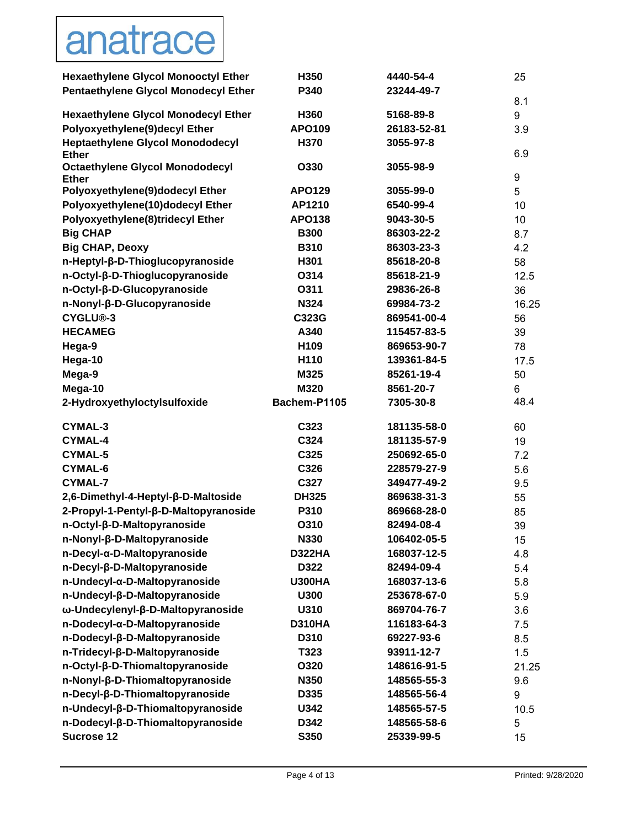# anatrace

| <b>Hexaethylene Glycol Monooctyl Ether</b>              | H350          | 4440-54-4   | 25    |
|---------------------------------------------------------|---------------|-------------|-------|
| <b>Pentaethylene Glycol Monodecyl Ether</b>             | P340          | 23244-49-7  | 8.1   |
| <b>Hexaethylene Glycol Monodecyl Ether</b>              | H360          | 5168-89-8   | 9     |
| Polyoxyethylene(9)decyl Ether                           | <b>APO109</b> | 26183-52-81 | 3.9   |
| <b>Heptaethylene Glycol Monododecyl</b><br><b>Ether</b> | H370          | 3055-97-8   | 6.9   |
| <b>Octaethylene Glycol Monododecyl</b><br><b>Ether</b>  | O330          | 3055-98-9   | 9     |
| Polyoxyethylene(9)dodecyl Ether                         | APO129        | 3055-99-0   | 5     |
| Polyoxyethylene(10)dodecyl Ether                        | AP1210        | 6540-99-4   | 10    |
| Polyoxyethylene(8)tridecyl Ether                        | <b>APO138</b> | 9043-30-5   | 10    |
| <b>Big CHAP</b>                                         | <b>B300</b>   | 86303-22-2  | 8.7   |
| <b>Big CHAP, Deoxy</b>                                  | <b>B310</b>   | 86303-23-3  | 4.2   |
| n-Heptyl-β-D-Thioglucopyranoside                        | H301          | 85618-20-8  | 58    |
| n-Octyl-β-D-Thioglucopyranoside                         | O314          | 85618-21-9  | 12.5  |
| n-Octyl-β-D-Glucopyranoside                             | O311          | 29836-26-8  | 36    |
| n-Nonyl-β-D-Glucopyranoside                             | <b>N324</b>   | 69984-73-2  | 16.25 |
| CYGLU®-3                                                | C323G         | 869541-00-4 | 56    |
| <b>HECAMEG</b>                                          | A340          | 115457-83-5 | 39    |
| Hega-9                                                  | H109          | 869653-90-7 | 78    |
| Hega-10                                                 | H110          | 139361-84-5 | 17.5  |
| Mega-9                                                  | M325          | 85261-19-4  | 50    |
| Mega-10                                                 | M320          | 8561-20-7   | 6     |
| 2-Hydroxyethyloctylsulfoxide                            | Bachem-P1105  | 7305-30-8   | 48.4  |
| CYMAL-3                                                 | C323          | 181135-58-0 | 60    |
| <b>CYMAL-4</b>                                          | C324          | 181135-57-9 | 19    |
| <b>CYMAL-5</b>                                          | C325          | 250692-65-0 | 7.2   |
| <b>CYMAL-6</b>                                          | C326          | 228579-27-9 | 5.6   |
| <b>CYMAL-7</b>                                          | C327          | 349477-49-2 | 9.5   |
| 2,6-Dimethyl-4-Heptyl-β-D-Maltoside                     | <b>DH325</b>  | 869638-31-3 | 55    |
| 2-Propyl-1-Pentyl-β-D-Maltopyranoside                   | P310          | 869668-28-0 | 85    |
| n-Octyl-β-D-Maltopyranoside                             | O310          | 82494-08-4  | 39    |
| n-Nonyl-β-D-Maltopyranoside                             | N330          | 106402-05-5 | 15    |
| n-Decyl-α-D-Maltopyranoside                             | <b>D322HA</b> | 168037-12-5 | 4.8   |
| n-Decyl-β-D-Maltopyranoside                             | D322          | 82494-09-4  | 5.4   |
| n-Undecyl-α-D-Maltopyranoside                           | <b>U300HA</b> | 168037-13-6 | 5.8   |
| n-Undecyl-ß-D-Maltopyranoside                           | U300          | 253678-67-0 | 5.9   |
| ω-Undecylenyl-β-D-Maltopyranoside                       | U310          | 869704-76-7 | 3.6   |
| n-Dodecyl-a-D-Maltopyranoside                           | <b>D310HA</b> | 116183-64-3 | 7.5   |
| n-Dodecyl-β-D-Maltopyranoside                           | D310          | 69227-93-6  | 8.5   |
| n-Tridecyl-ß-D-Maltopyranoside                          | T323          | 93911-12-7  | 1.5   |
| n-Octyl-β-D-Thiomaltopyranoside                         | O320          | 148616-91-5 | 21.25 |
| n-Nonyl-β-D-Thiomaltopyranoside                         | N350          | 148565-55-3 | 9.6   |
| n-Decyl-β-D-Thiomaltopyranoside                         | D335          | 148565-56-4 | 9     |
| n-Undecyl-ß-D-Thiomaltopyranoside                       | U342          | 148565-57-5 | 10.5  |
| n-Dodecyl-β-D-Thiomaltopyranoside                       | D342          | 148565-58-6 | 5     |
| <b>Sucrose 12</b>                                       | S350          | 25339-99-5  | 15    |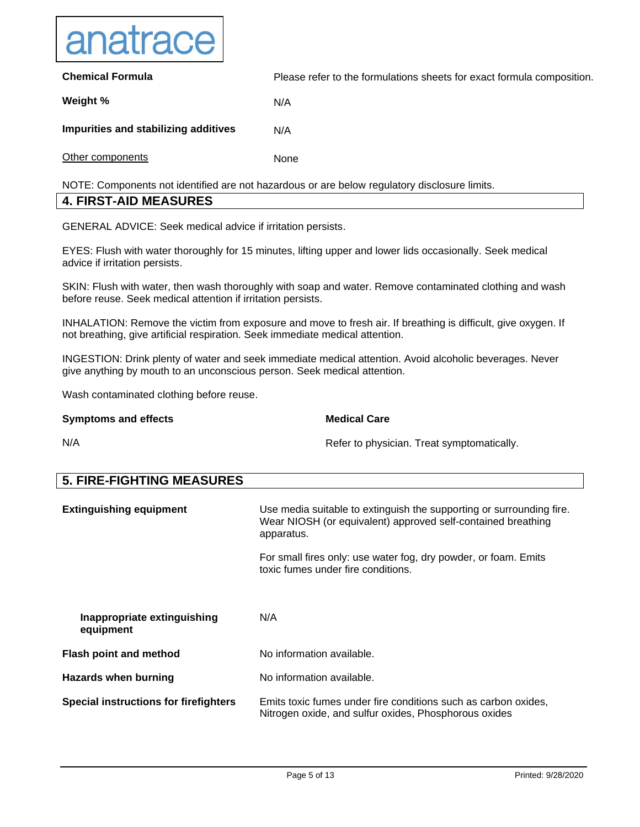

**Chemical Formula Weight % Impurities and stabilizing additives** Other components Please refer to the formulations sheets for exact formula composition. N/A N/A None

NOTE: Components not identified are not hazardous or are below regulatory disclosure limits.

#### **4. FIRST-AID MEASURES**

GENERAL ADVICE: Seek medical advice if irritation persists.

EYES: Flush with water thoroughly for 15 minutes, lifting upper and lower lids occasionally. Seek medical advice if irritation persists.

SKIN: Flush with water, then wash thoroughly with soap and water. Remove contaminated clothing and wash before reuse. Seek medical attention if irritation persists.

INHALATION: Remove the victim from exposure and move to fresh air. If breathing is difficult, give oxygen. If not breathing, give artificial respiration. Seek immediate medical attention.

INGESTION: Drink plenty of water and seek immediate medical attention. Avoid alcoholic beverages. Never give anything by mouth to an unconscious person. Seek medical attention.

Wash contaminated clothing before reuse.

#### **Symptoms and effects**

#### **Medical Care**

Refer to physician. Treat symptomatically.

N/A

**5. FIRE-FIGHTING MEASURES Extinguishing equipment Inappropriate extinguishing equipment** Use media suitable to extinguish the supporting or surrounding fire. Wear NIOSH (or equivalent) approved self-contained breathing apparatus. For small fires only: use water fog, dry powder, or foam. Emits toxic fumes under fire conditions. N/A **Flash point and method** No information available. **Hazards when burning and all information available. Special instructions for firefighters** Emits toxic fumes under fire conditions such as carbon oxides, Nitrogen oxide, and sulfur oxides, Phosphorous oxides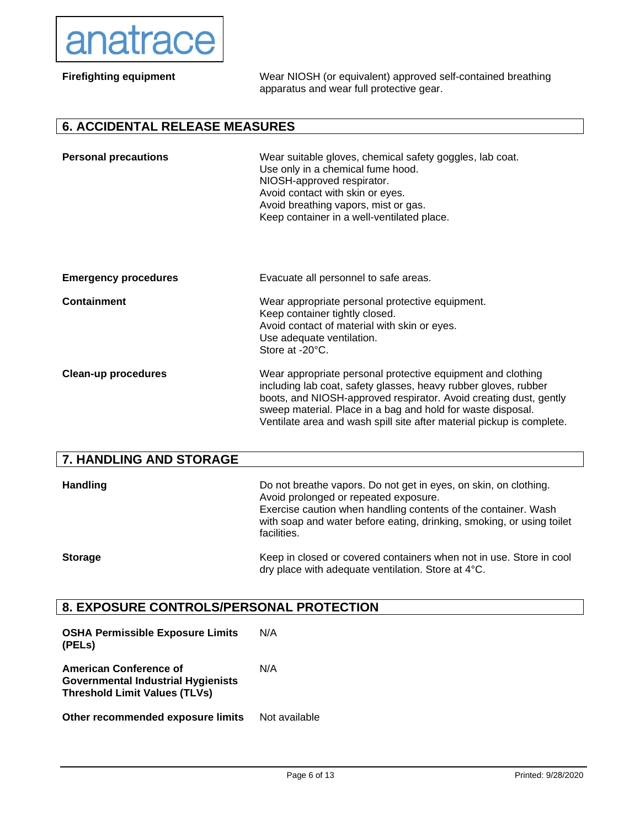

| <b>Firefighting equipment</b>         | Wear NIOSH (or equivalent) approved self-contained breathing<br>apparatus and wear full protective gear.                                                                                                                                                                                                                                    |
|---------------------------------------|---------------------------------------------------------------------------------------------------------------------------------------------------------------------------------------------------------------------------------------------------------------------------------------------------------------------------------------------|
| <b>6. ACCIDENTAL RELEASE MEASURES</b> |                                                                                                                                                                                                                                                                                                                                             |
| <b>Personal precautions</b>           | Wear suitable gloves, chemical safety goggles, lab coat.<br>Use only in a chemical fume hood.<br>NIOSH-approved respirator.<br>Avoid contact with skin or eyes.<br>Avoid breathing vapors, mist or gas.<br>Keep container in a well-ventilated place.                                                                                       |
| <b>Emergency procedures</b>           | Evacuate all personnel to safe areas.                                                                                                                                                                                                                                                                                                       |
| <b>Containment</b>                    | Wear appropriate personal protective equipment.<br>Keep container tightly closed.<br>Avoid contact of material with skin or eyes.<br>Use adequate ventilation.<br>Store at -20°C.                                                                                                                                                           |
| <b>Clean-up procedures</b>            | Wear appropriate personal protective equipment and clothing<br>including lab coat, safety glasses, heavy rubber gloves, rubber<br>boots, and NIOSH-approved respirator. Avoid creating dust, gently<br>sweep material. Place in a bag and hold for waste disposal.<br>Ventilate area and wash spill site after material pickup is complete. |

## **7. HANDLING AND STORAGE**

| <b>Handling</b> | Do not breathe vapors. Do not get in eyes, on skin, on clothing.<br>Avoid prolonged or repeated exposure.<br>Exercise caution when handling contents of the container. Wash<br>with soap and water before eating, drinking, smoking, or using toilet<br>facilities. |
|-----------------|---------------------------------------------------------------------------------------------------------------------------------------------------------------------------------------------------------------------------------------------------------------------|
| <b>Storage</b>  | Keep in closed or covered containers when not in use. Store in cool<br>dry place with adequate ventilation. Store at 4°C.                                                                                                                                           |

# **8. EXPOSURE CONTROLS/PERSONAL PROTECTION**

| <b>OSHA Permissible Exposure Limits</b><br>(PELS)                                                                  | N/A           |
|--------------------------------------------------------------------------------------------------------------------|---------------|
| <b>American Conference of</b><br><b>Governmental Industrial Hygienists</b><br><b>Threshold Limit Values (TLVs)</b> | N/A           |
| Other recommended exposure limits                                                                                  | Not available |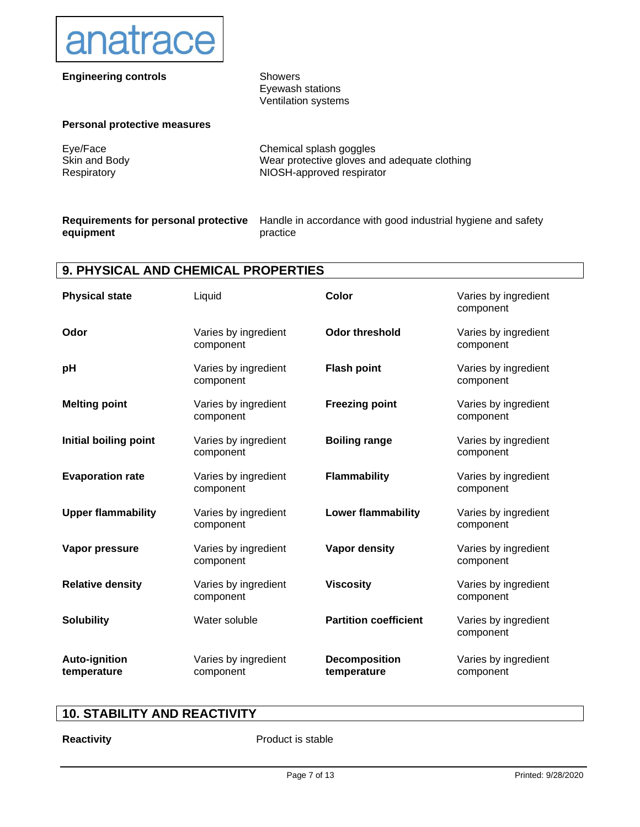

### **Engineering controls** Showers

Eyewash stations Ventilation systems

#### **Personal protective measures**

Eye/Face Skin and Body Respiratory

Chemical splash goggles Wear protective gloves and adequate clothing NIOSH-approved respirator

#### **Requirements for personal protective equipment**

Handle in accordance with good industrial hygiene and safety practice

### **9. PHYSICAL AND CHEMICAL PROPERTIES**

| <b>Physical state</b>               | Liquid                            | Color                               | Varies by ingredient<br>component |
|-------------------------------------|-----------------------------------|-------------------------------------|-----------------------------------|
| Odor                                | Varies by ingredient<br>component | <b>Odor threshold</b>               | Varies by ingredient<br>component |
| pH                                  | Varies by ingredient<br>component | <b>Flash point</b>                  | Varies by ingredient<br>component |
| <b>Melting point</b>                | Varies by ingredient<br>component | <b>Freezing point</b>               | Varies by ingredient<br>component |
| Initial boiling point               | Varies by ingredient<br>component | <b>Boiling range</b>                | Varies by ingredient<br>component |
| <b>Evaporation rate</b>             | Varies by ingredient<br>component | <b>Flammability</b>                 | Varies by ingredient<br>component |
| <b>Upper flammability</b>           | Varies by ingredient<br>component | <b>Lower flammability</b>           | Varies by ingredient<br>component |
| Vapor pressure                      | Varies by ingredient<br>component | <b>Vapor density</b>                | Varies by ingredient<br>component |
| <b>Relative density</b>             | Varies by ingredient<br>component | <b>Viscosity</b>                    | Varies by ingredient<br>component |
| <b>Solubility</b>                   | Water soluble                     | <b>Partition coefficient</b>        | Varies by ingredient<br>component |
| <b>Auto-ignition</b><br>temperature | Varies by ingredient<br>component | <b>Decomposition</b><br>temperature | Varies by ingredient<br>component |

# **10. STABILITY AND REACTIVITY**

**Reactivity Product is stable**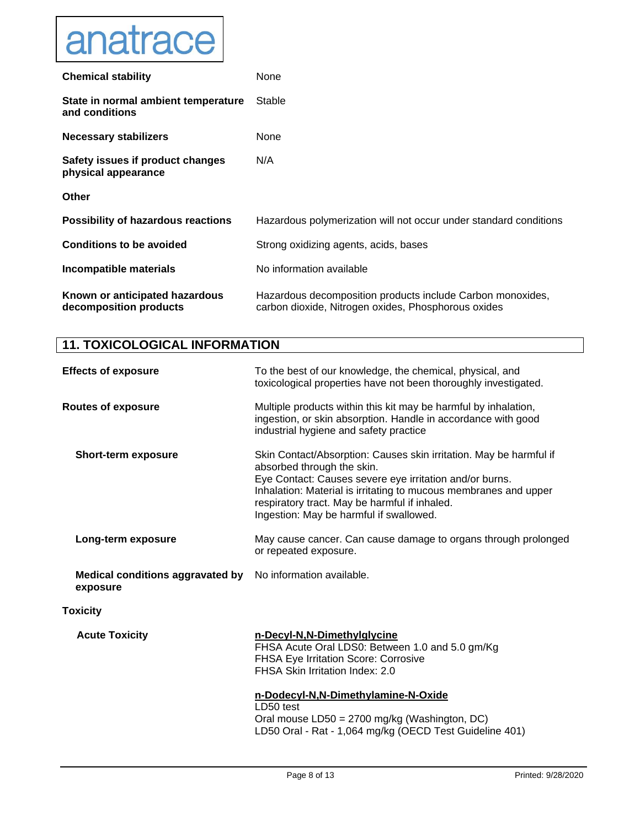

| <b>Chemical stability</b>                                | None                                                                                                              |
|----------------------------------------------------------|-------------------------------------------------------------------------------------------------------------------|
| State in normal ambient temperature<br>and conditions    | Stable                                                                                                            |
| Necessary stabilizers                                    | None                                                                                                              |
| Safety issues if product changes<br>physical appearance  | N/A                                                                                                               |
| <b>Other</b>                                             |                                                                                                                   |
| <b>Possibility of hazardous reactions</b>                | Hazardous polymerization will not occur under standard conditions                                                 |
| <b>Conditions to be avoided</b>                          | Strong oxidizing agents, acids, bases                                                                             |
| Incompatible materials                                   | No information available                                                                                          |
| Known or anticipated hazardous<br>decomposition products | Hazardous decomposition products include Carbon monoxides,<br>carbon dioxide, Nitrogen oxides, Phosphorous oxides |

# **11. TOXICOLOGICAL INFORMATION**

| <b>Effects of exposure</b>                          | To the best of our knowledge, the chemical, physical, and<br>toxicological properties have not been thoroughly investigated.                                                                                                                                                                                                |
|-----------------------------------------------------|-----------------------------------------------------------------------------------------------------------------------------------------------------------------------------------------------------------------------------------------------------------------------------------------------------------------------------|
| <b>Routes of exposure</b>                           | Multiple products within this kit may be harmful by inhalation,<br>ingestion, or skin absorption. Handle in accordance with good<br>industrial hygiene and safety practice                                                                                                                                                  |
| <b>Short-term exposure</b>                          | Skin Contact/Absorption: Causes skin irritation. May be harmful if<br>absorbed through the skin.<br>Eye Contact: Causes severe eye irritation and/or burns.<br>Inhalation: Material is irritating to mucous membranes and upper<br>respiratory tract. May be harmful if inhaled.<br>Ingestion: May be harmful if swallowed. |
| Long-term exposure                                  | May cause cancer. Can cause damage to organs through prolonged<br>or repeated exposure.                                                                                                                                                                                                                                     |
| <b>Medical conditions aggravated by</b><br>exposure | No information available.                                                                                                                                                                                                                                                                                                   |
| <b>Toxicity</b>                                     |                                                                                                                                                                                                                                                                                                                             |
| <b>Acute Toxicity</b>                               | n-Decyl-N,N-Dimethylglycine<br>FHSA Acute Oral LDS0: Between 1.0 and 5.0 gm/Kg<br><b>FHSA Eye Irritation Score: Corrosive</b><br>FHSA Skin Irritation Index: 2.0<br>n-Dodecyl-N,N-Dimethylamine-N-Oxide                                                                                                                     |
|                                                     | LD50 test<br>Oral mouse LD50 = 2700 mg/kg (Washington, DC)<br>LD50 Oral - Rat - 1,064 mg/kg (OECD Test Guideline 401)                                                                                                                                                                                                       |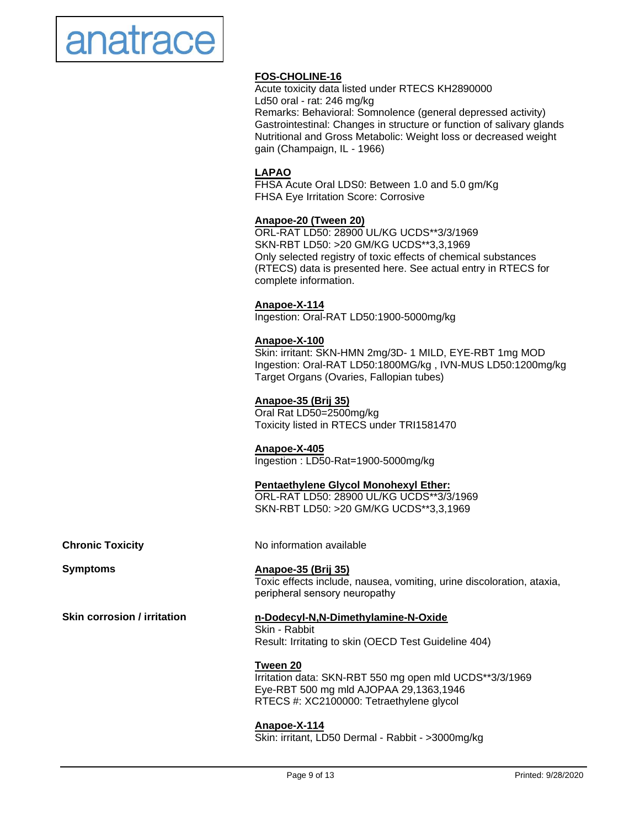

### **FOS-CHOLINE-16**

Acute toxicity data listed under RTECS KH2890000 Ld50 oral - rat: 246 mg/kg Remarks: Behavioral: Somnolence (general depressed activity) Gastrointestinal: Changes in structure or function of salivary glands Nutritional and Gross Metabolic: Weight loss or decreased weight gain (Champaign, IL - 1966)

#### **LAPAO**

FHSA Acute Oral LDS0: Between 1.0 and 5.0 gm/Kg FHSA Eye Irritation Score: Corrosive

#### **Anapoe-20 (Tween 20)**

ORL-RAT LD50: 28900 UL/KG UCDS\*\*3/3/1969 SKN-RBT LD50: >20 GM/KG UCDS\*\*3,3,1969 Only selected registry of toxic effects of chemical substances (RTECS) data is presented here. See actual entry in RTECS for complete information.

#### **Anapoe-X-114**

Ingestion: Oral-RAT LD50:1900-5000mg/kg

#### **Anapoe-X-100**

Skin: irritant: SKN-HMN 2mg/3D- 1 MILD, EYE-RBT 1mg MOD Ingestion: Oral-RAT LD50:1800MG/kg , IVN-MUS LD50:1200mg/kg Target Organs (Ovaries, Fallopian tubes)

#### **Anapoe-35 (Brij 35)**

Oral Rat LD50=2500mg/kg Toxicity listed in RTECS under TRI1581470

#### **Anapoe-X-405**

Ingestion : LD50-Rat=1900-5000mg/kg

# **Pentaethylene Glycol Monohexyl Ether:**

ORL-RAT LD50: 28900 UL/KG UCDS\*\*3/3/1969 SKN-RBT LD50: >20 GM/KG UCDS\*\*3,3,1969

**Chronic Toxicity**

**Symptoms**

**Skin corrosion / irritation**

No information available

**Anapoe-35 (Brij 35)** Toxic effects include, nausea, vomiting, urine discoloration, ataxia, peripheral sensory neuropathy

#### **n-Dodecyl-N,N-Dimethylamine-N-Oxide** Skin - Rabbit

Result: Irritating to skin (OECD Test Guideline 404)

#### **Tween 20**

Irritation data: SKN-RBT 550 mg open mld UCDS\*\*3/3/1969 Eye-RBT 500 mg mld AJOPAA 29,1363,1946 RTECS #: XC2100000: Tetraethylene glycol

**Anapoe-X-114** Skin: irritant, LD50 Dermal - Rabbit - >3000mg/kg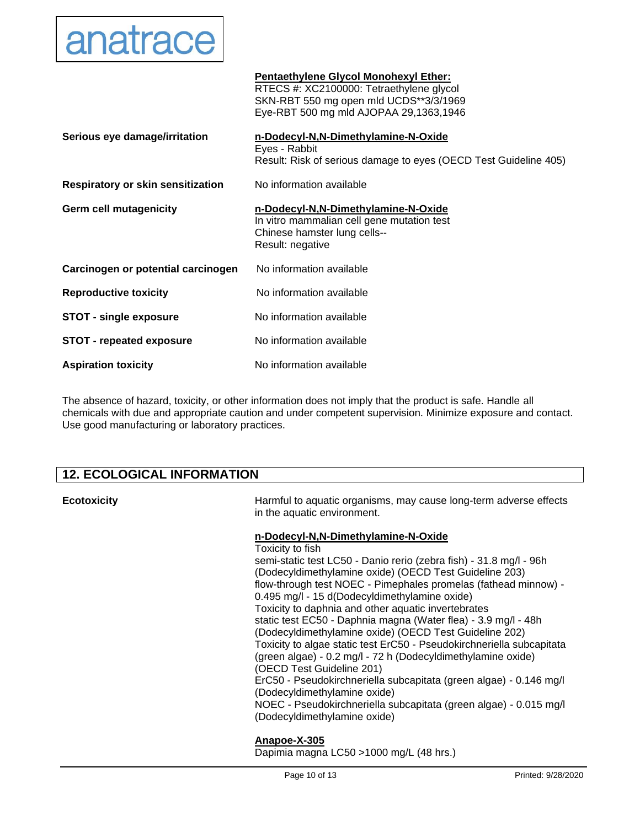

|                                          | Pentaethylene Glycol Monohexyl Ether:<br>RTECS #: XC2100000: Tetraethylene glycol<br>SKN-RBT 550 mg open mld UCDS**3/3/1969<br>Eye-RBT 500 mg mld AJOPAA 29,1363,1946 |
|------------------------------------------|-----------------------------------------------------------------------------------------------------------------------------------------------------------------------|
| Serious eye damage/irritation            | n-Dodecyl-N,N-Dimethylamine-N-Oxide<br>Eyes - Rabbit<br>Result: Risk of serious damage to eyes (OECD Test Guideline 405)                                              |
| <b>Respiratory or skin sensitization</b> | No information available                                                                                                                                              |
| Germ cell mutagenicity                   | n-Dodecyl-N,N-Dimethylamine-N-Oxide<br>In vitro mammalian cell gene mutation test<br>Chinese hamster lung cells--<br>Result: negative                                 |
| Carcinogen or potential carcinogen       | No information available                                                                                                                                              |
| <b>Reproductive toxicity</b>             | No information available                                                                                                                                              |
| <b>STOT - single exposure</b>            | No information available                                                                                                                                              |
| <b>STOT - repeated exposure</b>          | No information available                                                                                                                                              |
| <b>Aspiration toxicity</b>               | No information available                                                                                                                                              |

The absence of hazard, toxicity, or other information does not imply that the product is safe. Handle all chemicals with due and appropriate caution and under competent supervision. Minimize exposure and contact. Use good manufacturing or laboratory practices.

# **12. ECOLOGICAL INFORMATION**

| <b>Ecotoxicity</b> | Harmful to aquatic organisms, may cause long-term adverse effects<br>in the aquatic environment.                                                                                                                                                                                                                                                                                                                                                                                                                                                                                                                                                                                                                                                                                                                                                                                |
|--------------------|---------------------------------------------------------------------------------------------------------------------------------------------------------------------------------------------------------------------------------------------------------------------------------------------------------------------------------------------------------------------------------------------------------------------------------------------------------------------------------------------------------------------------------------------------------------------------------------------------------------------------------------------------------------------------------------------------------------------------------------------------------------------------------------------------------------------------------------------------------------------------------|
|                    | n-Dodecyl-N,N-Dimethylamine-N-Oxide<br>Toxicity to fish<br>semi-static test LC50 - Danio rerio (zebra fish) - 31.8 mg/l - 96h<br>(Dodecyldimethylamine oxide) (OECD Test Guideline 203)<br>flow-through test NOEC - Pimephales promelas (fathead minnow) -<br>0.495 mg/l - 15 d(Dodecyldimethylamine oxide)<br>Toxicity to daphnia and other aquatic invertebrates<br>static test EC50 - Daphnia magna (Water flea) - 3.9 mg/l - 48h<br>(Dodecyldimethylamine oxide) (OECD Test Guideline 202)<br>Toxicity to algae static test ErC50 - Pseudokirchneriella subcapitata<br>(green algae) - 0.2 mg/l - 72 h (Dodecyldimethylamine oxide)<br>(OECD Test Guideline 201)<br>ErC50 - Pseudokirchneriella subcapitata (green algae) - 0.146 mg/l<br>(Dodecyldimethylamine oxide)<br>NOEC - Pseudokirchneriella subcapitata (green algae) - 0.015 mg/l<br>(Dodecyldimethylamine oxide) |
|                    | Anapoe-X-305<br>Dapimia magna LC50 >1000 mg/L (48 hrs.)                                                                                                                                                                                                                                                                                                                                                                                                                                                                                                                                                                                                                                                                                                                                                                                                                         |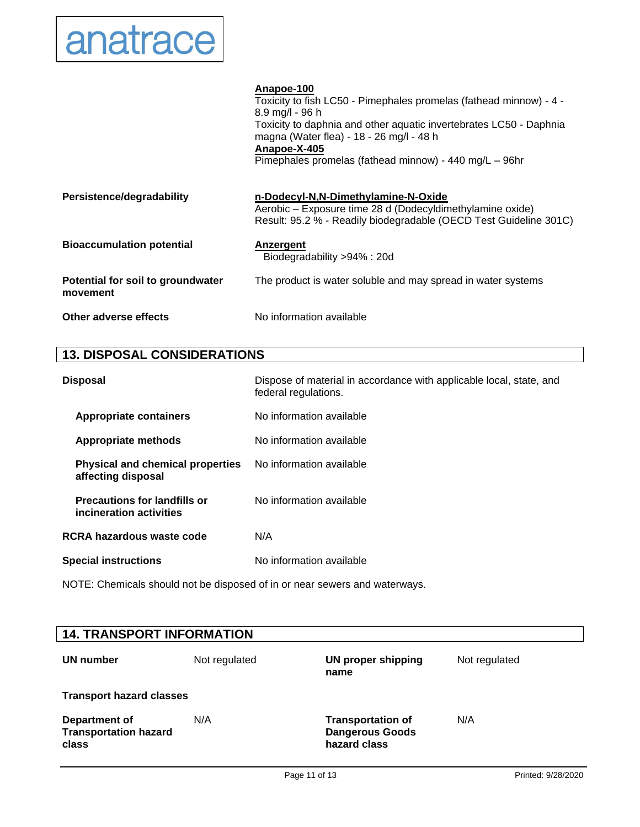# anatrace

|                                               | Anapoe-100<br>Toxicity to fish LC50 - Pimephales promelas (fathead minnow) - 4 -<br>$8.9 \,\mathrm{mg}/l \cdot 96 \,\mathrm{h}$<br>Toxicity to daphnia and other aquatic invertebrates LC50 - Daphnia<br>magna (Water flea) - 18 - 26 mg/l - 48 h<br>Anapoe-X-405<br>Pimephales promelas (fathead minnow) - 440 mg/L - 96hr |
|-----------------------------------------------|-----------------------------------------------------------------------------------------------------------------------------------------------------------------------------------------------------------------------------------------------------------------------------------------------------------------------------|
| Persistence/degradability                     | n-Dodecyl-N,N-Dimethylamine-N-Oxide<br>Aerobic – Exposure time 28 d (Dodecyldimethylamine oxide)<br>Result: 95.2 % - Readily biodegradable (OECD Test Guideline 301C)                                                                                                                                                       |
| <b>Bioaccumulation potential</b>              | Anzergent<br>Biodegradability >94% : 20d                                                                                                                                                                                                                                                                                    |
| Potential for soil to groundwater<br>movement | The product is water soluble and may spread in water systems                                                                                                                                                                                                                                                                |
| Other adverse effects                         | No information available                                                                                                                                                                                                                                                                                                    |

# **13. DISPOSAL CONSIDERATIONS**

| <b>Disposal</b>                                                | Dispose of material in accordance with applicable local, state, and<br>federal regulations. |
|----------------------------------------------------------------|---------------------------------------------------------------------------------------------|
| <b>Appropriate containers</b>                                  | No information available                                                                    |
| <b>Appropriate methods</b>                                     | No information available                                                                    |
| <b>Physical and chemical properties</b><br>affecting disposal  | No information available                                                                    |
| <b>Precautions for landfills or</b><br>incineration activities | No information available                                                                    |
| RCRA hazardous waste code                                      | N/A                                                                                         |
| <b>Special instructions</b>                                    | No information available                                                                    |

NOTE: Chemicals should not be disposed of in or near sewers and waterways.

| <b>14. TRANSPORT INFORMATION</b>                       |               |                                                                    |               |  |
|--------------------------------------------------------|---------------|--------------------------------------------------------------------|---------------|--|
| UN number                                              | Not regulated | <b>UN proper shipping</b><br>name                                  | Not regulated |  |
| <b>Transport hazard classes</b>                        |               |                                                                    |               |  |
| Department of<br><b>Transportation hazard</b><br>class | N/A           | <b>Transportation of</b><br><b>Dangerous Goods</b><br>hazard class | N/A           |  |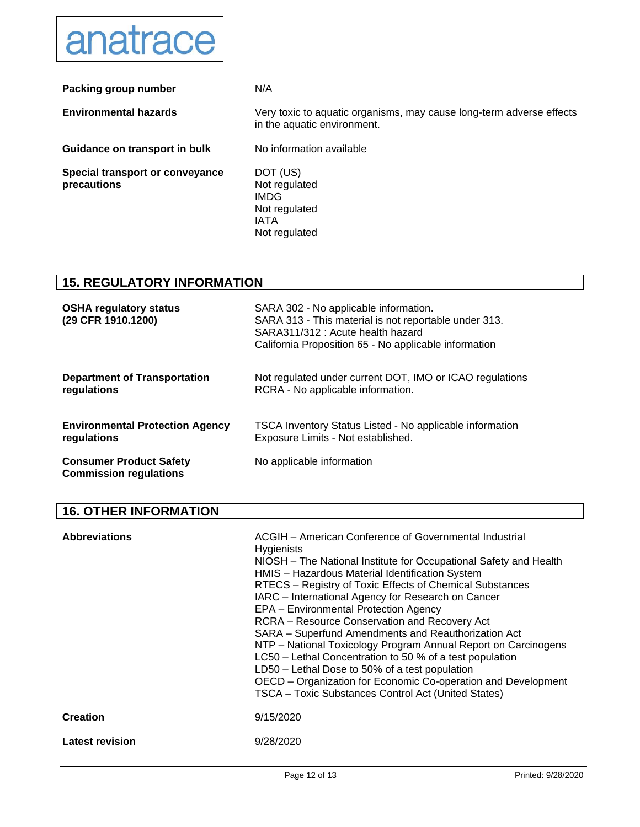

| Packing group number                           | N/A                                                                                                 |
|------------------------------------------------|-----------------------------------------------------------------------------------------------------|
| <b>Environmental hazards</b>                   | Very toxic to aquatic organisms, may cause long-term adverse effects<br>in the aquatic environment. |
| Guidance on transport in bulk                  | No information available                                                                            |
| Special transport or conveyance<br>precautions | DOT (US)<br>Not regulated<br><b>IMDG</b><br>Not regulated<br><b>IATA</b><br>Not regulated           |

### **15. REGULATORY INFORMATION**

| <b>OSHA regulatory status</b><br>(29 CFR 1910.1200)             | SARA 302 - No applicable information.<br>SARA 313 - This material is not reportable under 313.<br>SARA311/312 : Acute health hazard<br>California Proposition 65 - No applicable information |
|-----------------------------------------------------------------|----------------------------------------------------------------------------------------------------------------------------------------------------------------------------------------------|
| <b>Department of Transportation</b>                             | Not regulated under current DOT, IMO or ICAO regulations                                                                                                                                     |
| regulations                                                     | RCRA - No applicable information.                                                                                                                                                            |
| <b>Environmental Protection Agency</b>                          | TSCA Inventory Status Listed - No applicable information                                                                                                                                     |
| regulations                                                     | Exposure Limits - Not established.                                                                                                                                                           |
| <b>Consumer Product Safety</b><br><b>Commission regulations</b> | No applicable information                                                                                                                                                                    |

# **16. OTHER INFORMATION**

| <b>Abbreviations</b>   | ACGIH - American Conference of Governmental Industrial<br><b>Hygienists</b><br>NIOSH – The National Institute for Occupational Safety and Health<br>HMIS - Hazardous Material Identification System<br>RTECS - Registry of Toxic Effects of Chemical Substances<br>IARC - International Agency for Research on Cancer<br>EPA - Environmental Protection Agency<br>RCRA - Resource Conservation and Recovery Act<br>SARA - Superfund Amendments and Reauthorization Act<br>NTP – National Toxicology Program Annual Report on Carcinogens<br>LC50 – Lethal Concentration to 50 % of a test population<br>LD50 – Lethal Dose to 50% of a test population<br>OECD – Organization for Economic Co-operation and Development<br>TSCA - Toxic Substances Control Act (United States) |
|------------------------|--------------------------------------------------------------------------------------------------------------------------------------------------------------------------------------------------------------------------------------------------------------------------------------------------------------------------------------------------------------------------------------------------------------------------------------------------------------------------------------------------------------------------------------------------------------------------------------------------------------------------------------------------------------------------------------------------------------------------------------------------------------------------------|
| <b>Creation</b>        | 9/15/2020                                                                                                                                                                                                                                                                                                                                                                                                                                                                                                                                                                                                                                                                                                                                                                      |
| <b>Latest revision</b> | 9/28/2020                                                                                                                                                                                                                                                                                                                                                                                                                                                                                                                                                                                                                                                                                                                                                                      |